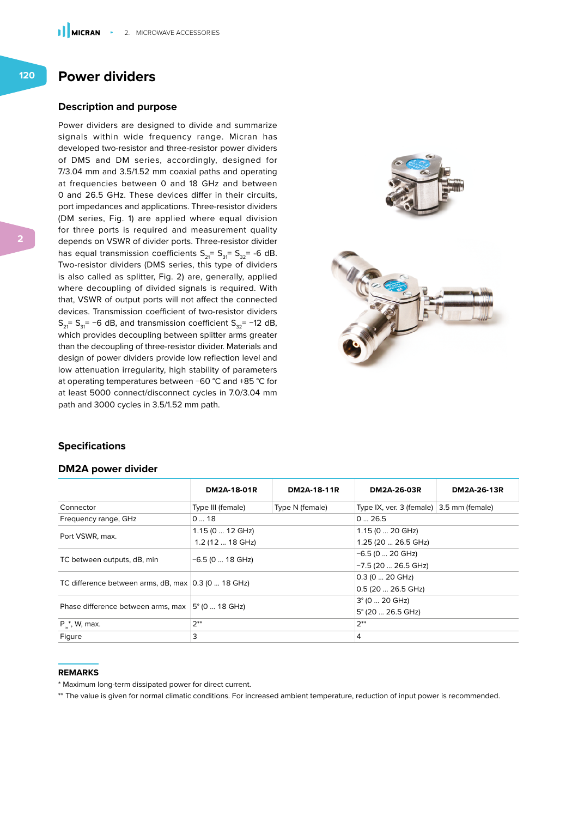# **Power dividers**

#### **Description and purpose**

Power dividers are designed to divide and summarize signals within wide frequency range. Micran has developed two-resistor and three-resistor power dividers of DMS and DM series, accordingly, designed for 7/3.04 mm and 3.5/1.52 mm coaxial paths and operating at frequencies between 0 and 18 GHz and between 0 and 26.5 GHz. These devices differ in their circuits, port impedances and applications. Three-resistor dividers (DM series, Fig. 1) are applied where equal division for three ports is required and measurement quality depends on VSWR of divider ports. Three-resistor divider has equal transmission coefficients  $S_{21} = S_{31} = S_{32} = -6$  dB. Two-resistor dividers (DMS series, this type of dividers is also called as splitter, Fig. 2) are, generally, applied where decoupling of divided signals is required. With that, VSWR of output ports will not affect the connected devices. Transmission coefficient of two-resistor dividers  $S_{31}$ = S<sub>31</sub>= −6 dB, and transmission coefficient S<sub>32</sub>= −12 dB, which provides decoupling between splitter arms greater than the decoupling of three-resistor divider. Materials and design of power dividers provide low reflection level and low attenuation irregularity, high stability of parameters at operating temperatures between −60 °C and +85 °C for at least 5000 connect/disconnect cycles in 7.0/3.04 mm path and 3000 cycles in 3.5/1.52 mm path.



### **Specifications**

#### **DM2A power divider**

|                                                     | DM2A-18-01R             | DM2A-18-11R     | DM2A-26-03R                              | DM2A-26-13R |  |
|-----------------------------------------------------|-------------------------|-----------------|------------------------------------------|-------------|--|
| Connector                                           | Type III (female)       | Type N (female) | Type IX, ver. 3 (female) 3.5 mm (female) |             |  |
| Frequency range, GHz                                | 018                     |                 | 026.5                                    |             |  |
| Port VSWR, max.                                     | $1.15(012 \text{ GHz})$ |                 | 1.15 (0  20 GHz)                         |             |  |
|                                                     | 1.2 (12  18 GHz)        |                 | 1.25 (20  26.5 GHz)                      |             |  |
| TC between outputs, dB, min                         | $-6.5$ (0  18 GHz)      |                 | $-6.5$ (0  20 GHz)                       |             |  |
|                                                     |                         |                 | $-7.5$ (20  26.5 GHz)                    |             |  |
| TC difference between arms, dB, max 0.3 (0  18 GHz) |                         |                 | $0.3(020 \text{ GHz})$                   |             |  |
|                                                     |                         |                 | $0.5(2026.5 \text{ GHz})$                |             |  |
| Phase difference between arms, max                  | $5^{\circ}$ (0  18 GHz) |                 | $3^{\circ}$ (0  20 GHz)                  |             |  |
|                                                     |                         |                 | $5^{\circ}$ (20  26.5 GHz)               |             |  |
| $P_{n}^{*}$ , W, max.                               | $2**$                   |                 | $2**$                                    |             |  |
| Figure                                              | 3                       |                 | 4                                        |             |  |

#### **REMARKS**

\* Maximum long-term dissipated power for direct current.

\*\* The value is given for normal climatic conditions. For increased ambient temperature, reduction of input power is recommended.